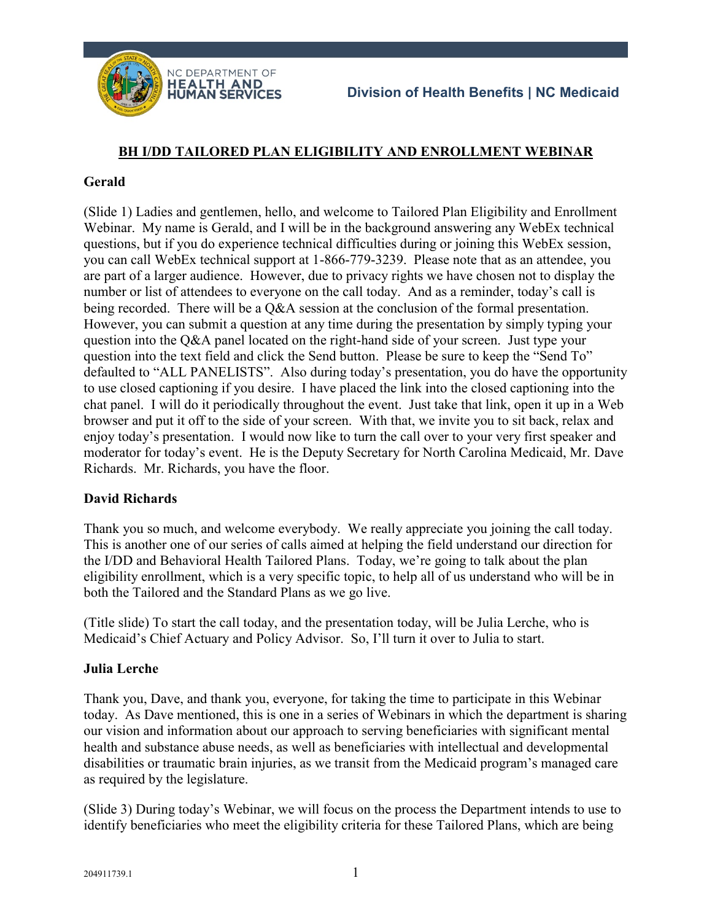

## **BH I/DD TAILORED PLAN ELIGIBILITY AND ENROLLMENT WEBINAR**

### **Gerald**

(Slide 1) Ladies and gentlemen, hello, and welcome to Tailored Plan Eligibility and Enrollment Webinar. My name is Gerald, and I will be in the background answering any WebEx technical questions, but if you do experience technical difficulties during or joining this WebEx session, you can call WebEx technical support at 1-866-779-3239. Please note that as an attendee, you are part of a larger audience. However, due to privacy rights we have chosen not to display the number or list of attendees to everyone on the call today. And as a reminder, today's call is being recorded. There will be a Q&A session at the conclusion of the formal presentation. However, you can submit a question at any time during the presentation by simply typing your question into the Q&A panel located on the right-hand side of your screen. Just type your question into the text field and click the Send button. Please be sure to keep the "Send To" defaulted to "ALL PANELISTS". Also during today's presentation, you do have the opportunity to use closed captioning if you desire. I have placed the link into the closed captioning into the chat panel. I will do it periodically throughout the event. Just take that link, open it up in a Web browser and put it off to the side of your screen. With that, we invite you to sit back, relax and enjoy today's presentation. I would now like to turn the call over to your very first speaker and moderator for today's event. He is the Deputy Secretary for North Carolina Medicaid, Mr. Dave Richards. Mr. Richards, you have the floor.

## **David Richards**

Thank you so much, and welcome everybody. We really appreciate you joining the call today. This is another one of our series of calls aimed at helping the field understand our direction for the I/DD and Behavioral Health Tailored Plans. Today, we're going to talk about the plan eligibility enrollment, which is a very specific topic, to help all of us understand who will be in both the Tailored and the Standard Plans as we go live.

(Title slide) To start the call today, and the presentation today, will be Julia Lerche, who is Medicaid's Chief Actuary and Policy Advisor. So, I'll turn it over to Julia to start.

## **Julia Lerche**

Thank you, Dave, and thank you, everyone, for taking the time to participate in this Webinar today. As Dave mentioned, this is one in a series of Webinars in which the department is sharing our vision and information about our approach to serving beneficiaries with significant mental health and substance abuse needs, as well as beneficiaries with intellectual and developmental disabilities or traumatic brain injuries, as we transit from the Medicaid program's managed care as required by the legislature.

(Slide 3) During today's Webinar, we will focus on the process the Department intends to use to identify beneficiaries who meet the eligibility criteria for these Tailored Plans, which are being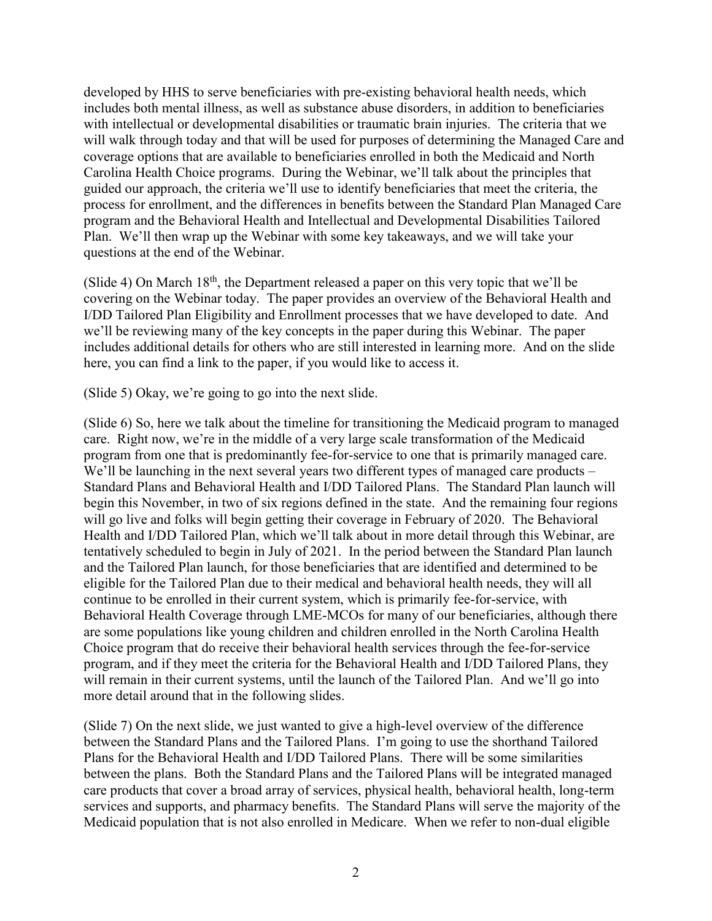developed by HHS to serve beneficiaries with pre-existing behavioral health needs, which includes both mental illness, as well as substance abuse disorders, in addition to beneficiaries with intellectual or developmental disabilities or traumatic brain injuries. The criteria that we will walk through today and that will be used for purposes of determining the Managed Care and coverage options that are available to beneficiaries enrolled in both the Medicaid and North Carolina Health Choice programs. During the Webinar, we'll talk about the principles that guided our approach, the criteria we'll use to identify beneficiaries that meet the criteria, the process for enrollment, and the differences in benefits between the Standard Plan Managed Care program and the Behavioral Health and Intellectual and Developmental Disabilities Tailored Plan. We'll then wrap up the Webinar with some key takeaways, and we will take your questions at the end of the Webinar.

(Slide 4) On March  $18<sup>th</sup>$ , the Department released a paper on this very topic that we'll be covering on the Webinar today. The paper provides an overview of the Behavioral Health and I/DD Tailored Plan Eligibility and Enrollment processes that we have developed to date. And we'll be reviewing many of the key concepts in the paper during this Webinar. The paper includes additional details for others who are still interested in learning more. And on the slide here, you can find a link to the paper, if you would like to access it.

(Slide 5) Okay, we're going to go into the next slide.

(Slide 6) So, here we talk about the timeline for transitioning the Medicaid program to managed care. Right now, we're in the middle of a very large scale transformation of the Medicaid program from one that is predominantly fee-for-service to one that is primarily managed care. We'll be launching in the next several years two different types of managed care products – Standard Plans and Behavioral Health and I/DD Tailored Plans. The Standard Plan launch will begin this November, in two of six regions defined in the state. And the remaining four regions will go live and folks will begin getting their coverage in February of 2020. The Behavioral Health and I/DD Tailored Plan, which we'll talk about in more detail through this Webinar, are tentatively scheduled to begin in July of 2021. In the period between the Standard Plan launch and the Tailored Plan launch, for those beneficiaries that are identified and determined to be eligible for the Tailored Plan due to their medical and behavioral health needs, they will all continue to be enrolled in their current system, which is primarily fee-for-service, with Behavioral Health Coverage through LME-MCOs for many of our beneficiaries, although there are some populations like young children and children enrolled in the North Carolina Health Choice program that do receive their behavioral health services through the fee-for-service program, and if they meet the criteria for the Behavioral Health and I/DD Tailored Plans, they will remain in their current systems, until the launch of the Tailored Plan. And we'll go into more detail around that in the following slides.

(Slide 7) On the next slide, we just wanted to give a high-level overview of the difference between the Standard Plans and the Tailored Plans. I'm going to use the shorthand Tailored Plans for the Behavioral Health and I/DD Tailored Plans. There will be some similarities between the plans. Both the Standard Plans and the Tailored Plans will be integrated managed care products that cover a broad array of services, physical health, behavioral health, long-term services and supports, and pharmacy benefits. The Standard Plans will serve the majority of the Medicaid population that is not also enrolled in Medicare. When we refer to non-dual eligible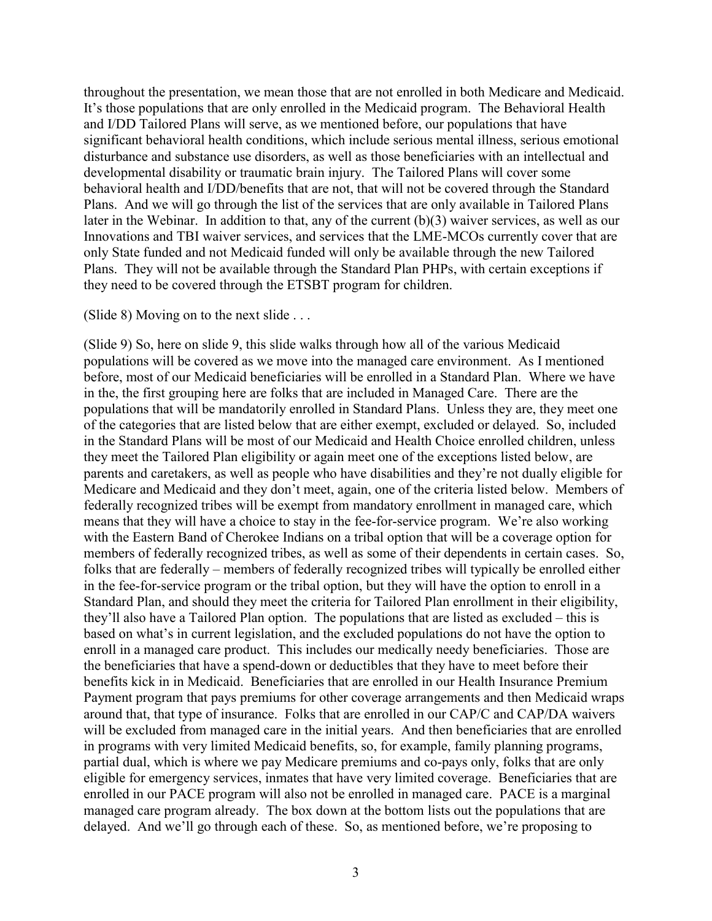throughout the presentation, we mean those that are not enrolled in both Medicare and Medicaid. It's those populations that are only enrolled in the Medicaid program. The Behavioral Health and I/DD Tailored Plans will serve, as we mentioned before, our populations that have significant behavioral health conditions, which include serious mental illness, serious emotional disturbance and substance use disorders, as well as those beneficiaries with an intellectual and developmental disability or traumatic brain injury. The Tailored Plans will cover some behavioral health and I/DD/benefits that are not, that will not be covered through the Standard Plans. And we will go through the list of the services that are only available in Tailored Plans later in the Webinar. In addition to that, any of the current (b)(3) waiver services, as well as our Innovations and TBI waiver services, and services that the LME-MCOs currently cover that are only State funded and not Medicaid funded will only be available through the new Tailored Plans. They will not be available through the Standard Plan PHPs, with certain exceptions if they need to be covered through the ETSBT program for children.

#### (Slide 8) Moving on to the next slide . . .

(Slide 9) So, here on slide 9, this slide walks through how all of the various Medicaid populations will be covered as we move into the managed care environment. As I mentioned before, most of our Medicaid beneficiaries will be enrolled in a Standard Plan. Where we have in the, the first grouping here are folks that are included in Managed Care. There are the populations that will be mandatorily enrolled in Standard Plans. Unless they are, they meet one of the categories that are listed below that are either exempt, excluded or delayed. So, included in the Standard Plans will be most of our Medicaid and Health Choice enrolled children, unless they meet the Tailored Plan eligibility or again meet one of the exceptions listed below, are parents and caretakers, as well as people who have disabilities and they're not dually eligible for Medicare and Medicaid and they don't meet, again, one of the criteria listed below. Members of federally recognized tribes will be exempt from mandatory enrollment in managed care, which means that they will have a choice to stay in the fee-for-service program. We're also working with the Eastern Band of Cherokee Indians on a tribal option that will be a coverage option for members of federally recognized tribes, as well as some of their dependents in certain cases. So, folks that are federally – members of federally recognized tribes will typically be enrolled either in the fee-for-service program or the tribal option, but they will have the option to enroll in a Standard Plan, and should they meet the criteria for Tailored Plan enrollment in their eligibility, they'll also have a Tailored Plan option. The populations that are listed as excluded – this is based on what's in current legislation, and the excluded populations do not have the option to enroll in a managed care product. This includes our medically needy beneficiaries. Those are the beneficiaries that have a spend-down or deductibles that they have to meet before their benefits kick in in Medicaid. Beneficiaries that are enrolled in our Health Insurance Premium Payment program that pays premiums for other coverage arrangements and then Medicaid wraps around that, that type of insurance. Folks that are enrolled in our CAP/C and CAP/DA waivers will be excluded from managed care in the initial years. And then beneficiaries that are enrolled in programs with very limited Medicaid benefits, so, for example, family planning programs, partial dual, which is where we pay Medicare premiums and co-pays only, folks that are only eligible for emergency services, inmates that have very limited coverage. Beneficiaries that are enrolled in our PACE program will also not be enrolled in managed care. PACE is a marginal managed care program already. The box down at the bottom lists out the populations that are delayed. And we'll go through each of these. So, as mentioned before, we're proposing to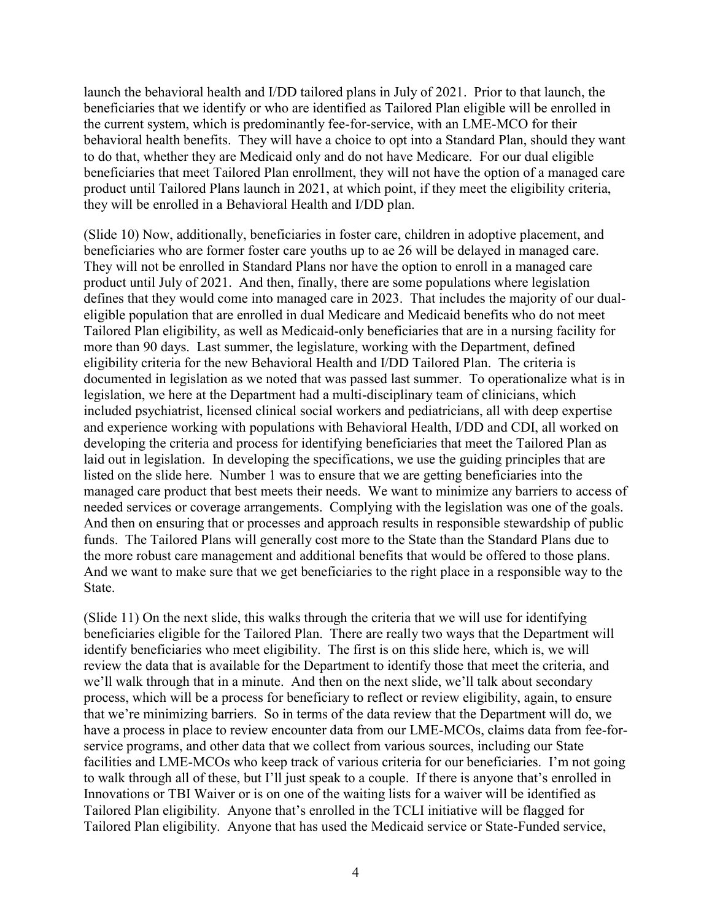launch the behavioral health and I/DD tailored plans in July of 2021. Prior to that launch, the beneficiaries that we identify or who are identified as Tailored Plan eligible will be enrolled in the current system, which is predominantly fee-for-service, with an LME-MCO for their behavioral health benefits. They will have a choice to opt into a Standard Plan, should they want to do that, whether they are Medicaid only and do not have Medicare. For our dual eligible beneficiaries that meet Tailored Plan enrollment, they will not have the option of a managed care product until Tailored Plans launch in 2021, at which point, if they meet the eligibility criteria, they will be enrolled in a Behavioral Health and I/DD plan.

(Slide 10) Now, additionally, beneficiaries in foster care, children in adoptive placement, and beneficiaries who are former foster care youths up to ae 26 will be delayed in managed care. They will not be enrolled in Standard Plans nor have the option to enroll in a managed care product until July of 2021. And then, finally, there are some populations where legislation defines that they would come into managed care in 2023. That includes the majority of our dualeligible population that are enrolled in dual Medicare and Medicaid benefits who do not meet Tailored Plan eligibility, as well as Medicaid-only beneficiaries that are in a nursing facility for more than 90 days. Last summer, the legislature, working with the Department, defined eligibility criteria for the new Behavioral Health and I/DD Tailored Plan. The criteria is documented in legislation as we noted that was passed last summer. To operationalize what is in legislation, we here at the Department had a multi-disciplinary team of clinicians, which included psychiatrist, licensed clinical social workers and pediatricians, all with deep expertise and experience working with populations with Behavioral Health, I/DD and CDI, all worked on developing the criteria and process for identifying beneficiaries that meet the Tailored Plan as laid out in legislation. In developing the specifications, we use the guiding principles that are listed on the slide here. Number 1 was to ensure that we are getting beneficiaries into the managed care product that best meets their needs. We want to minimize any barriers to access of needed services or coverage arrangements. Complying with the legislation was one of the goals. And then on ensuring that or processes and approach results in responsible stewardship of public funds. The Tailored Plans will generally cost more to the State than the Standard Plans due to the more robust care management and additional benefits that would be offered to those plans. And we want to make sure that we get beneficiaries to the right place in a responsible way to the State.

(Slide 11) On the next slide, this walks through the criteria that we will use for identifying beneficiaries eligible for the Tailored Plan. There are really two ways that the Department will identify beneficiaries who meet eligibility. The first is on this slide here, which is, we will review the data that is available for the Department to identify those that meet the criteria, and we'll walk through that in a minute. And then on the next slide, we'll talk about secondary process, which will be a process for beneficiary to reflect or review eligibility, again, to ensure that we're minimizing barriers. So in terms of the data review that the Department will do, we have a process in place to review encounter data from our LME-MCOs, claims data from fee-forservice programs, and other data that we collect from various sources, including our State facilities and LME-MCOs who keep track of various criteria for our beneficiaries. I'm not going to walk through all of these, but I'll just speak to a couple. If there is anyone that's enrolled in Innovations or TBI Waiver or is on one of the waiting lists for a waiver will be identified as Tailored Plan eligibility. Anyone that's enrolled in the TCLI initiative will be flagged for Tailored Plan eligibility. Anyone that has used the Medicaid service or State-Funded service,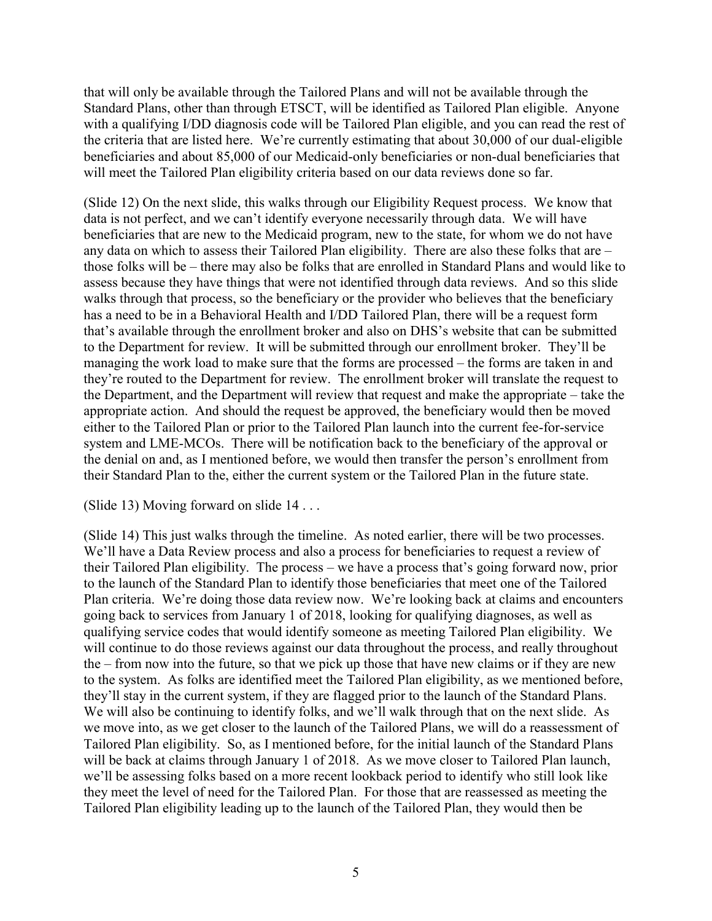that will only be available through the Tailored Plans and will not be available through the Standard Plans, other than through ETSCT, will be identified as Tailored Plan eligible. Anyone with a qualifying I/DD diagnosis code will be Tailored Plan eligible, and you can read the rest of the criteria that are listed here. We're currently estimating that about 30,000 of our dual-eligible beneficiaries and about 85,000 of our Medicaid-only beneficiaries or non-dual beneficiaries that will meet the Tailored Plan eligibility criteria based on our data reviews done so far.

(Slide 12) On the next slide, this walks through our Eligibility Request process. We know that data is not perfect, and we can't identify everyone necessarily through data. We will have beneficiaries that are new to the Medicaid program, new to the state, for whom we do not have any data on which to assess their Tailored Plan eligibility. There are also these folks that are – those folks will be – there may also be folks that are enrolled in Standard Plans and would like to assess because they have things that were not identified through data reviews. And so this slide walks through that process, so the beneficiary or the provider who believes that the beneficiary has a need to be in a Behavioral Health and I/DD Tailored Plan, there will be a request form that's available through the enrollment broker and also on DHS's website that can be submitted to the Department for review. It will be submitted through our enrollment broker. They'll be managing the work load to make sure that the forms are processed – the forms are taken in and they're routed to the Department for review. The enrollment broker will translate the request to the Department, and the Department will review that request and make the appropriate – take the appropriate action. And should the request be approved, the beneficiary would then be moved either to the Tailored Plan or prior to the Tailored Plan launch into the current fee-for-service system and LME-MCOs. There will be notification back to the beneficiary of the approval or the denial on and, as I mentioned before, we would then transfer the person's enrollment from their Standard Plan to the, either the current system or the Tailored Plan in the future state.

(Slide 13) Moving forward on slide 14 . . .

(Slide 14) This just walks through the timeline. As noted earlier, there will be two processes. We'll have a Data Review process and also a process for beneficiaries to request a review of their Tailored Plan eligibility. The process – we have a process that's going forward now, prior to the launch of the Standard Plan to identify those beneficiaries that meet one of the Tailored Plan criteria. We're doing those data review now. We're looking back at claims and encounters going back to services from January 1 of 2018, looking for qualifying diagnoses, as well as qualifying service codes that would identify someone as meeting Tailored Plan eligibility. We will continue to do those reviews against our data throughout the process, and really throughout the – from now into the future, so that we pick up those that have new claims or if they are new to the system. As folks are identified meet the Tailored Plan eligibility, as we mentioned before, they'll stay in the current system, if they are flagged prior to the launch of the Standard Plans. We will also be continuing to identify folks, and we'll walk through that on the next slide. As we move into, as we get closer to the launch of the Tailored Plans, we will do a reassessment of Tailored Plan eligibility. So, as I mentioned before, for the initial launch of the Standard Plans will be back at claims through January 1 of 2018. As we move closer to Tailored Plan launch, we'll be assessing folks based on a more recent lookback period to identify who still look like they meet the level of need for the Tailored Plan. For those that are reassessed as meeting the Tailored Plan eligibility leading up to the launch of the Tailored Plan, they would then be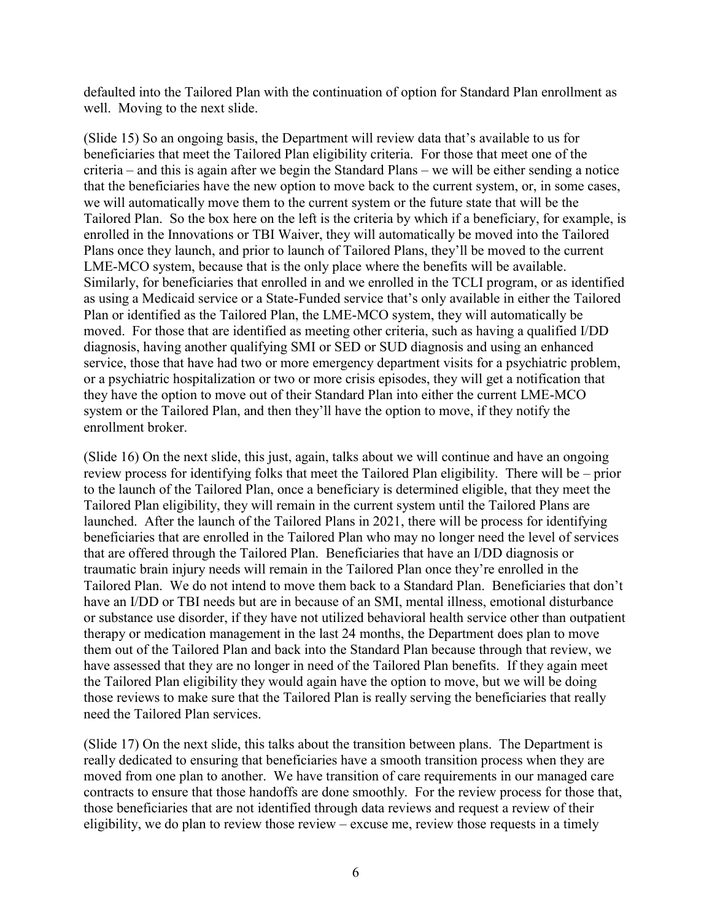defaulted into the Tailored Plan with the continuation of option for Standard Plan enrollment as well. Moving to the next slide.

(Slide 15) So an ongoing basis, the Department will review data that's available to us for beneficiaries that meet the Tailored Plan eligibility criteria. For those that meet one of the criteria – and this is again after we begin the Standard Plans – we will be either sending a notice that the beneficiaries have the new option to move back to the current system, or, in some cases, we will automatically move them to the current system or the future state that will be the Tailored Plan. So the box here on the left is the criteria by which if a beneficiary, for example, is enrolled in the Innovations or TBI Waiver, they will automatically be moved into the Tailored Plans once they launch, and prior to launch of Tailored Plans, they'll be moved to the current LME-MCO system, because that is the only place where the benefits will be available. Similarly, for beneficiaries that enrolled in and we enrolled in the TCLI program, or as identified as using a Medicaid service or a State-Funded service that's only available in either the Tailored Plan or identified as the Tailored Plan, the LME-MCO system, they will automatically be moved. For those that are identified as meeting other criteria, such as having a qualified I/DD diagnosis, having another qualifying SMI or SED or SUD diagnosis and using an enhanced service, those that have had two or more emergency department visits for a psychiatric problem, or a psychiatric hospitalization or two or more crisis episodes, they will get a notification that they have the option to move out of their Standard Plan into either the current LME-MCO system or the Tailored Plan, and then they'll have the option to move, if they notify the enrollment broker.

(Slide 16) On the next slide, this just, again, talks about we will continue and have an ongoing review process for identifying folks that meet the Tailored Plan eligibility. There will be – prior to the launch of the Tailored Plan, once a beneficiary is determined eligible, that they meet the Tailored Plan eligibility, they will remain in the current system until the Tailored Plans are launched. After the launch of the Tailored Plans in 2021, there will be process for identifying beneficiaries that are enrolled in the Tailored Plan who may no longer need the level of services that are offered through the Tailored Plan. Beneficiaries that have an I/DD diagnosis or traumatic brain injury needs will remain in the Tailored Plan once they're enrolled in the Tailored Plan. We do not intend to move them back to a Standard Plan. Beneficiaries that don't have an I/DD or TBI needs but are in because of an SMI, mental illness, emotional disturbance or substance use disorder, if they have not utilized behavioral health service other than outpatient therapy or medication management in the last 24 months, the Department does plan to move them out of the Tailored Plan and back into the Standard Plan because through that review, we have assessed that they are no longer in need of the Tailored Plan benefits. If they again meet the Tailored Plan eligibility they would again have the option to move, but we will be doing those reviews to make sure that the Tailored Plan is really serving the beneficiaries that really need the Tailored Plan services.

(Slide 17) On the next slide, this talks about the transition between plans. The Department is really dedicated to ensuring that beneficiaries have a smooth transition process when they are moved from one plan to another. We have transition of care requirements in our managed care contracts to ensure that those handoffs are done smoothly. For the review process for those that, those beneficiaries that are not identified through data reviews and request a review of their eligibility, we do plan to review those review – excuse me, review those requests in a timely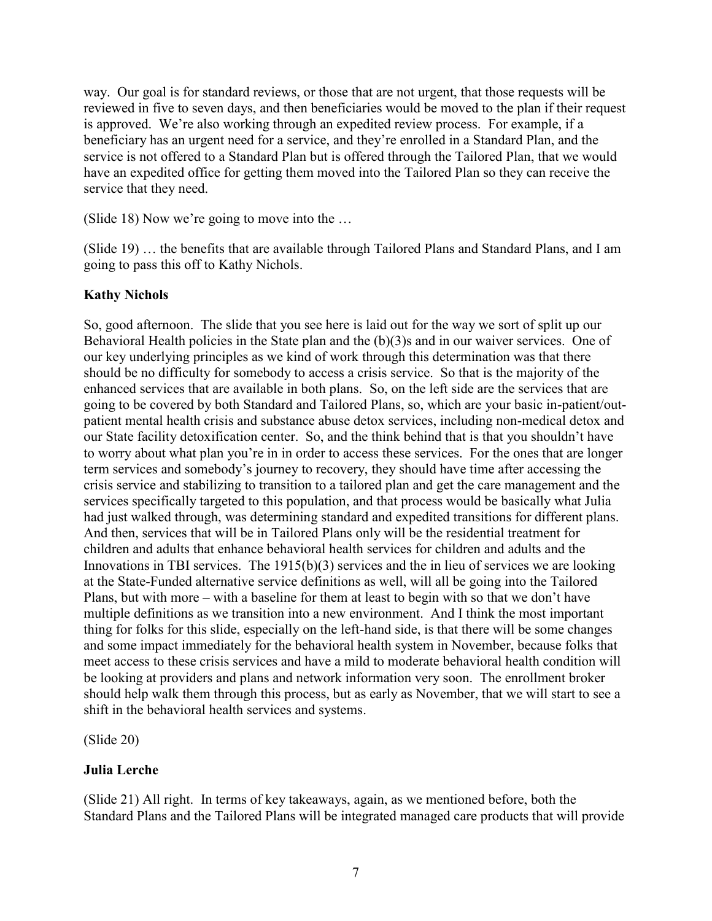way. Our goal is for standard reviews, or those that are not urgent, that those requests will be reviewed in five to seven days, and then beneficiaries would be moved to the plan if their request is approved. We're also working through an expedited review process. For example, if a beneficiary has an urgent need for a service, and they're enrolled in a Standard Plan, and the service is not offered to a Standard Plan but is offered through the Tailored Plan, that we would have an expedited office for getting them moved into the Tailored Plan so they can receive the service that they need.

(Slide 18) Now we're going to move into the …

(Slide 19) … the benefits that are available through Tailored Plans and Standard Plans, and I am going to pass this off to Kathy Nichols.

## **Kathy Nichols**

So, good afternoon. The slide that you see here is laid out for the way we sort of split up our Behavioral Health policies in the State plan and the (b)(3)s and in our waiver services. One of our key underlying principles as we kind of work through this determination was that there should be no difficulty for somebody to access a crisis service. So that is the majority of the enhanced services that are available in both plans. So, on the left side are the services that are going to be covered by both Standard and Tailored Plans, so, which are your basic in-patient/outpatient mental health crisis and substance abuse detox services, including non-medical detox and our State facility detoxification center. So, and the think behind that is that you shouldn't have to worry about what plan you're in in order to access these services. For the ones that are longer term services and somebody's journey to recovery, they should have time after accessing the crisis service and stabilizing to transition to a tailored plan and get the care management and the services specifically targeted to this population, and that process would be basically what Julia had just walked through, was determining standard and expedited transitions for different plans. And then, services that will be in Tailored Plans only will be the residential treatment for children and adults that enhance behavioral health services for children and adults and the Innovations in TBI services. The 1915(b)(3) services and the in lieu of services we are looking at the State-Funded alternative service definitions as well, will all be going into the Tailored Plans, but with more – with a baseline for them at least to begin with so that we don't have multiple definitions as we transition into a new environment. And I think the most important thing for folks for this slide, especially on the left-hand side, is that there will be some changes and some impact immediately for the behavioral health system in November, because folks that meet access to these crisis services and have a mild to moderate behavioral health condition will be looking at providers and plans and network information very soon. The enrollment broker should help walk them through this process, but as early as November, that we will start to see a shift in the behavioral health services and systems.

(Slide 20)

## **Julia Lerche**

(Slide 21) All right. In terms of key takeaways, again, as we mentioned before, both the Standard Plans and the Tailored Plans will be integrated managed care products that will provide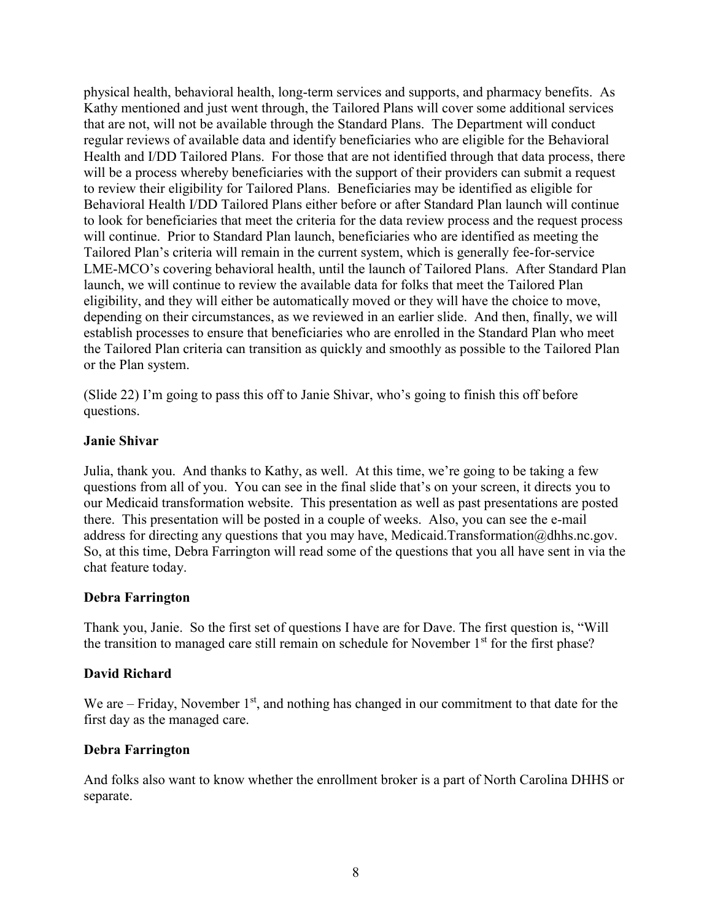physical health, behavioral health, long-term services and supports, and pharmacy benefits. As Kathy mentioned and just went through, the Tailored Plans will cover some additional services that are not, will not be available through the Standard Plans. The Department will conduct regular reviews of available data and identify beneficiaries who are eligible for the Behavioral Health and I/DD Tailored Plans. For those that are not identified through that data process, there will be a process whereby beneficiaries with the support of their providers can submit a request to review their eligibility for Tailored Plans. Beneficiaries may be identified as eligible for Behavioral Health I/DD Tailored Plans either before or after Standard Plan launch will continue to look for beneficiaries that meet the criteria for the data review process and the request process will continue. Prior to Standard Plan launch, beneficiaries who are identified as meeting the Tailored Plan's criteria will remain in the current system, which is generally fee-for-service LME-MCO's covering behavioral health, until the launch of Tailored Plans. After Standard Plan launch, we will continue to review the available data for folks that meet the Tailored Plan eligibility, and they will either be automatically moved or they will have the choice to move, depending on their circumstances, as we reviewed in an earlier slide. And then, finally, we will establish processes to ensure that beneficiaries who are enrolled in the Standard Plan who meet the Tailored Plan criteria can transition as quickly and smoothly as possible to the Tailored Plan or the Plan system.

(Slide 22) I'm going to pass this off to Janie Shivar, who's going to finish this off before questions.

#### **Janie Shivar**

Julia, thank you. And thanks to Kathy, as well. At this time, we're going to be taking a few questions from all of you. You can see in the final slide that's on your screen, it directs you to our Medicaid transformation website. This presentation as well as past presentations are posted there. This presentation will be posted in a couple of weeks. Also, you can see the e-mail address for directing any questions that you may have, Medicaid.Transformation@dhhs.nc.gov. So, at this time, Debra Farrington will read some of the questions that you all have sent in via the chat feature today.

#### **Debra Farrington**

Thank you, Janie. So the first set of questions I have are for Dave. The first question is, "Will the transition to managed care still remain on schedule for November 1<sup>st</sup> for the first phase?

## **David Richard**

We are – Friday, November  $1<sup>st</sup>$ , and nothing has changed in our commitment to that date for the first day as the managed care.

## **Debra Farrington**

And folks also want to know whether the enrollment broker is a part of North Carolina DHHS or separate.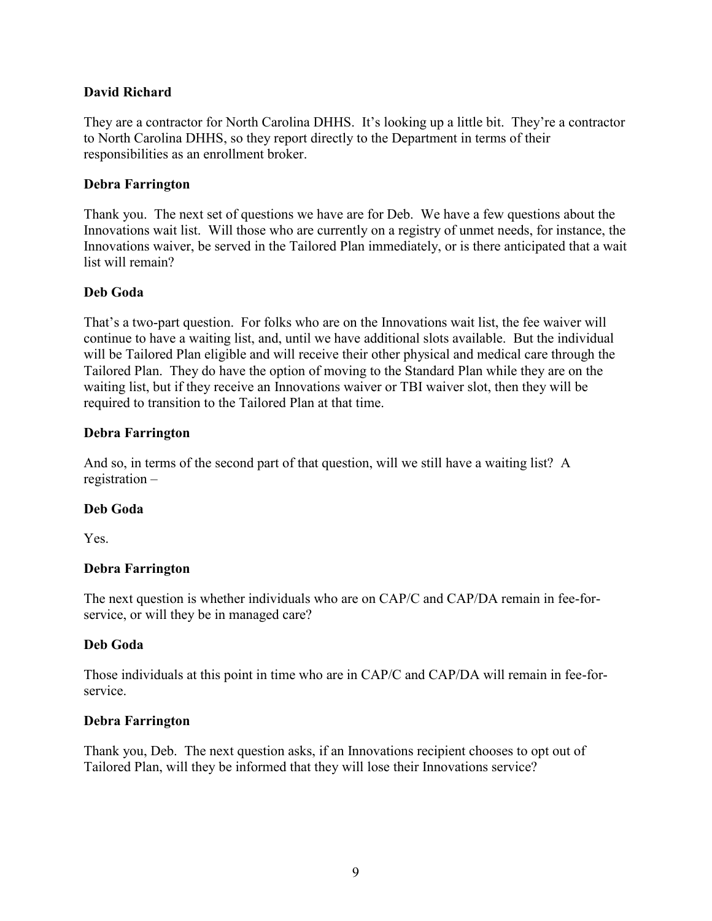### **David Richard**

They are a contractor for North Carolina DHHS. It's looking up a little bit. They're a contractor to North Carolina DHHS, so they report directly to the Department in terms of their responsibilities as an enrollment broker.

#### **Debra Farrington**

Thank you. The next set of questions we have are for Deb. We have a few questions about the Innovations wait list. Will those who are currently on a registry of unmet needs, for instance, the Innovations waiver, be served in the Tailored Plan immediately, or is there anticipated that a wait list will remain?

### **Deb Goda**

That's a two-part question. For folks who are on the Innovations wait list, the fee waiver will continue to have a waiting list, and, until we have additional slots available. But the individual will be Tailored Plan eligible and will receive their other physical and medical care through the Tailored Plan. They do have the option of moving to the Standard Plan while they are on the waiting list, but if they receive an Innovations waiver or TBI waiver slot, then they will be required to transition to the Tailored Plan at that time.

### **Debra Farrington**

And so, in terms of the second part of that question, will we still have a waiting list? A registration –

## **Deb Goda**

Yes.

## **Debra Farrington**

The next question is whether individuals who are on CAP/C and CAP/DA remain in fee-forservice, or will they be in managed care?

#### **Deb Goda**

Those individuals at this point in time who are in CAP/C and CAP/DA will remain in fee-forservice.

#### **Debra Farrington**

Thank you, Deb. The next question asks, if an Innovations recipient chooses to opt out of Tailored Plan, will they be informed that they will lose their Innovations service?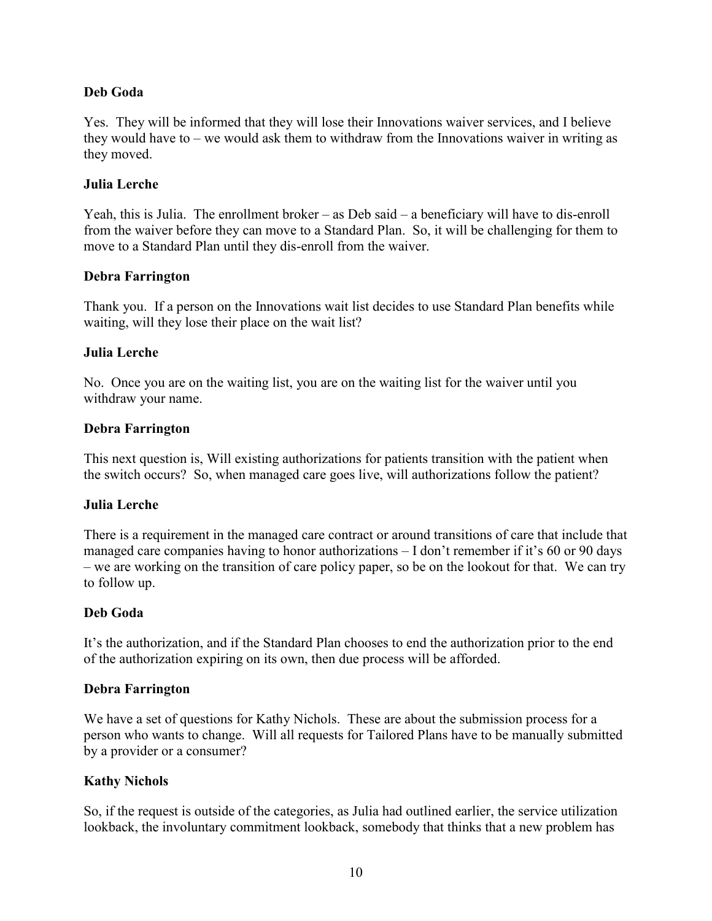### **Deb Goda**

Yes. They will be informed that they will lose their Innovations waiver services, and I believe they would have to – we would ask them to withdraw from the Innovations waiver in writing as they moved.

#### **Julia Lerche**

Yeah, this is Julia. The enrollment broker – as Deb said – a beneficiary will have to dis-enroll from the waiver before they can move to a Standard Plan. So, it will be challenging for them to move to a Standard Plan until they dis-enroll from the waiver.

#### **Debra Farrington**

Thank you. If a person on the Innovations wait list decides to use Standard Plan benefits while waiting, will they lose their place on the wait list?

#### **Julia Lerche**

No. Once you are on the waiting list, you are on the waiting list for the waiver until you withdraw your name.

### **Debra Farrington**

This next question is, Will existing authorizations for patients transition with the patient when the switch occurs? So, when managed care goes live, will authorizations follow the patient?

#### **Julia Lerche**

There is a requirement in the managed care contract or around transitions of care that include that managed care companies having to honor authorizations – I don't remember if it's 60 or 90 days – we are working on the transition of care policy paper, so be on the lookout for that. We can try to follow up.

#### **Deb Goda**

It's the authorization, and if the Standard Plan chooses to end the authorization prior to the end of the authorization expiring on its own, then due process will be afforded.

#### **Debra Farrington**

We have a set of questions for Kathy Nichols. These are about the submission process for a person who wants to change. Will all requests for Tailored Plans have to be manually submitted by a provider or a consumer?

## **Kathy Nichols**

So, if the request is outside of the categories, as Julia had outlined earlier, the service utilization lookback, the involuntary commitment lookback, somebody that thinks that a new problem has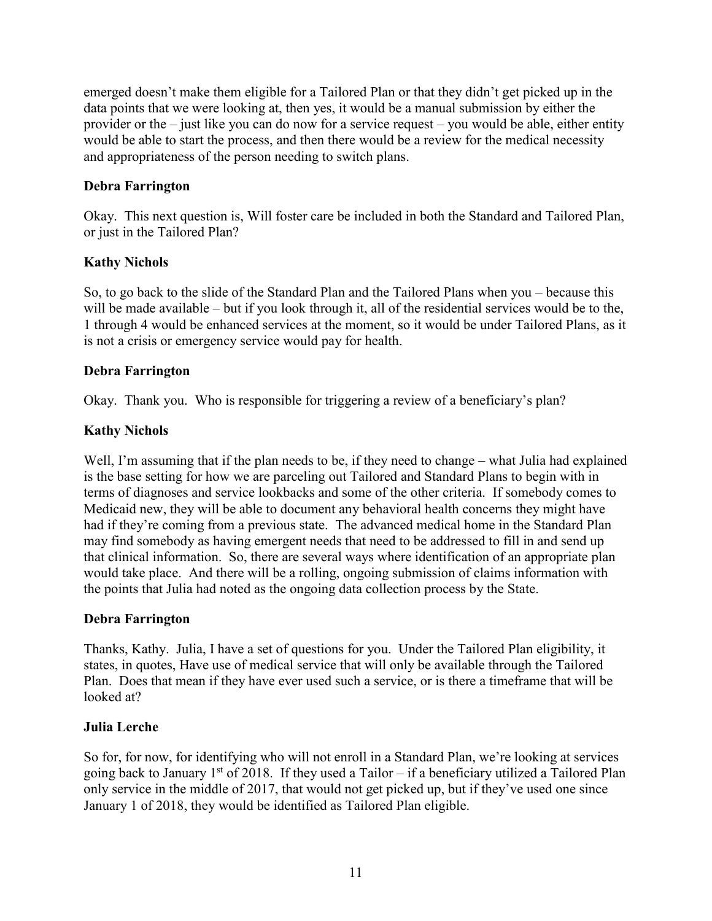emerged doesn't make them eligible for a Tailored Plan or that they didn't get picked up in the data points that we were looking at, then yes, it would be a manual submission by either the provider or the – just like you can do now for a service request – you would be able, either entity would be able to start the process, and then there would be a review for the medical necessity and appropriateness of the person needing to switch plans.

## **Debra Farrington**

Okay. This next question is, Will foster care be included in both the Standard and Tailored Plan, or just in the Tailored Plan?

## **Kathy Nichols**

So, to go back to the slide of the Standard Plan and the Tailored Plans when you – because this will be made available – but if you look through it, all of the residential services would be to the, 1 through 4 would be enhanced services at the moment, so it would be under Tailored Plans, as it is not a crisis or emergency service would pay for health.

## **Debra Farrington**

Okay. Thank you. Who is responsible for triggering a review of a beneficiary's plan?

## **Kathy Nichols**

Well, I'm assuming that if the plan needs to be, if they need to change – what Julia had explained is the base setting for how we are parceling out Tailored and Standard Plans to begin with in terms of diagnoses and service lookbacks and some of the other criteria. If somebody comes to Medicaid new, they will be able to document any behavioral health concerns they might have had if they're coming from a previous state. The advanced medical home in the Standard Plan may find somebody as having emergent needs that need to be addressed to fill in and send up that clinical information. So, there are several ways where identification of an appropriate plan would take place. And there will be a rolling, ongoing submission of claims information with the points that Julia had noted as the ongoing data collection process by the State.

## **Debra Farrington**

Thanks, Kathy. Julia, I have a set of questions for you. Under the Tailored Plan eligibility, it states, in quotes, Have use of medical service that will only be available through the Tailored Plan. Does that mean if they have ever used such a service, or is there a timeframe that will be looked at?

## **Julia Lerche**

So for, for now, for identifying who will not enroll in a Standard Plan, we're looking at services going back to January  $1^{st}$  of 2018. If they used a Tailor – if a beneficiary utilized a Tailored Plan only service in the middle of 2017, that would not get picked up, but if they've used one since January 1 of 2018, they would be identified as Tailored Plan eligible.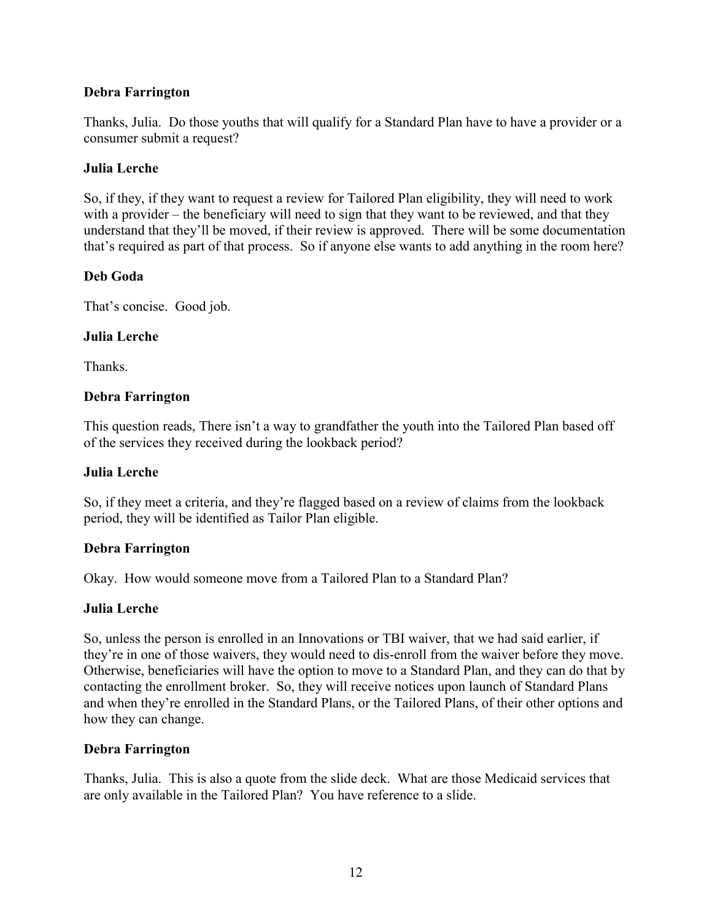### **Debra Farrington**

Thanks, Julia. Do those youths that will qualify for a Standard Plan have to have a provider or a consumer submit a request?

#### **Julia Lerche**

So, if they, if they want to request a review for Tailored Plan eligibility, they will need to work with a provider – the beneficiary will need to sign that they want to be reviewed, and that they understand that they'll be moved, if their review is approved. There will be some documentation that's required as part of that process. So if anyone else wants to add anything in the room here?

### **Deb Goda**

That's concise. Good job.

### **Julia Lerche**

Thanks.

### **Debra Farrington**

This question reads, There isn't a way to grandfather the youth into the Tailored Plan based off of the services they received during the lookback period?

#### **Julia Lerche**

So, if they meet a criteria, and they're flagged based on a review of claims from the lookback period, they will be identified as Tailor Plan eligible.

#### **Debra Farrington**

Okay. How would someone move from a Tailored Plan to a Standard Plan?

#### **Julia Lerche**

So, unless the person is enrolled in an Innovations or TBI waiver, that we had said earlier, if they're in one of those waivers, they would need to dis-enroll from the waiver before they move. Otherwise, beneficiaries will have the option to move to a Standard Plan, and they can do that by contacting the enrollment broker. So, they will receive notices upon launch of Standard Plans and when they're enrolled in the Standard Plans, or the Tailored Plans, of their other options and how they can change.

#### **Debra Farrington**

Thanks, Julia. This is also a quote from the slide deck. What are those Medicaid services that are only available in the Tailored Plan? You have reference to a slide.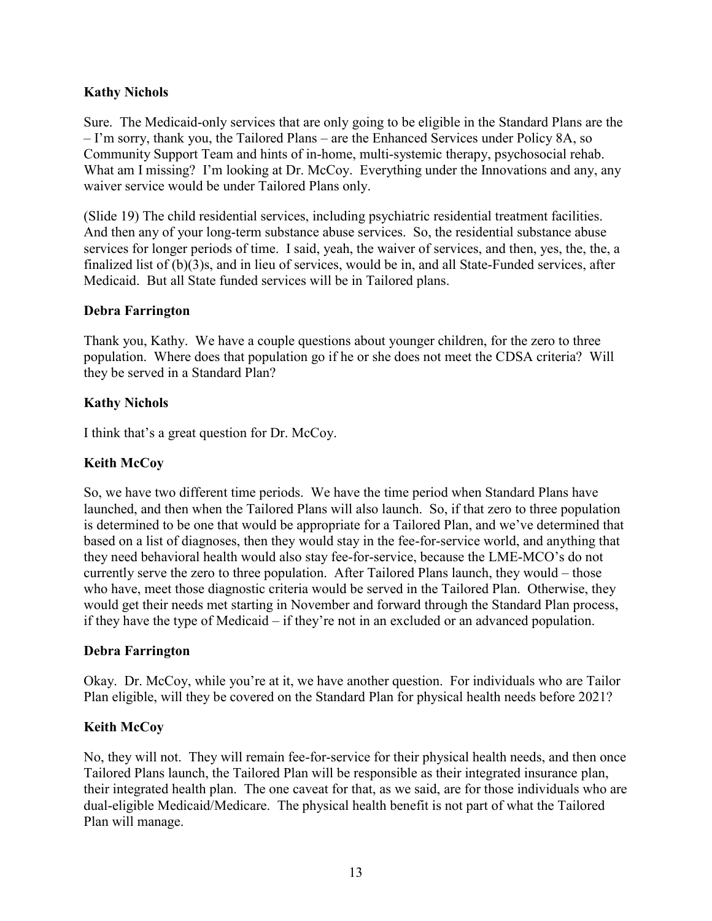## **Kathy Nichols**

Sure. The Medicaid-only services that are only going to be eligible in the Standard Plans are the – I'm sorry, thank you, the Tailored Plans – are the Enhanced Services under Policy 8A, so Community Support Team and hints of in-home, multi-systemic therapy, psychosocial rehab. What am I missing? I'm looking at Dr. McCoy. Everything under the Innovations and any, any waiver service would be under Tailored Plans only.

(Slide 19) The child residential services, including psychiatric residential treatment facilities. And then any of your long-term substance abuse services. So, the residential substance abuse services for longer periods of time. I said, yeah, the waiver of services, and then, yes, the, the, a finalized list of (b)(3)s, and in lieu of services, would be in, and all State-Funded services, after Medicaid. But all State funded services will be in Tailored plans.

#### **Debra Farrington**

Thank you, Kathy. We have a couple questions about younger children, for the zero to three population. Where does that population go if he or she does not meet the CDSA criteria? Will they be served in a Standard Plan?

### **Kathy Nichols**

I think that's a great question for Dr. McCoy.

### **Keith McCoy**

So, we have two different time periods. We have the time period when Standard Plans have launched, and then when the Tailored Plans will also launch. So, if that zero to three population is determined to be one that would be appropriate for a Tailored Plan, and we've determined that based on a list of diagnoses, then they would stay in the fee-for-service world, and anything that they need behavioral health would also stay fee-for-service, because the LME-MCO's do not currently serve the zero to three population. After Tailored Plans launch, they would – those who have, meet those diagnostic criteria would be served in the Tailored Plan. Otherwise, they would get their needs met starting in November and forward through the Standard Plan process, if they have the type of Medicaid – if they're not in an excluded or an advanced population.

## **Debra Farrington**

Okay. Dr. McCoy, while you're at it, we have another question. For individuals who are Tailor Plan eligible, will they be covered on the Standard Plan for physical health needs before 2021?

## **Keith McCoy**

No, they will not. They will remain fee-for-service for their physical health needs, and then once Tailored Plans launch, the Tailored Plan will be responsible as their integrated insurance plan, their integrated health plan. The one caveat for that, as we said, are for those individuals who are dual-eligible Medicaid/Medicare. The physical health benefit is not part of what the Tailored Plan will manage.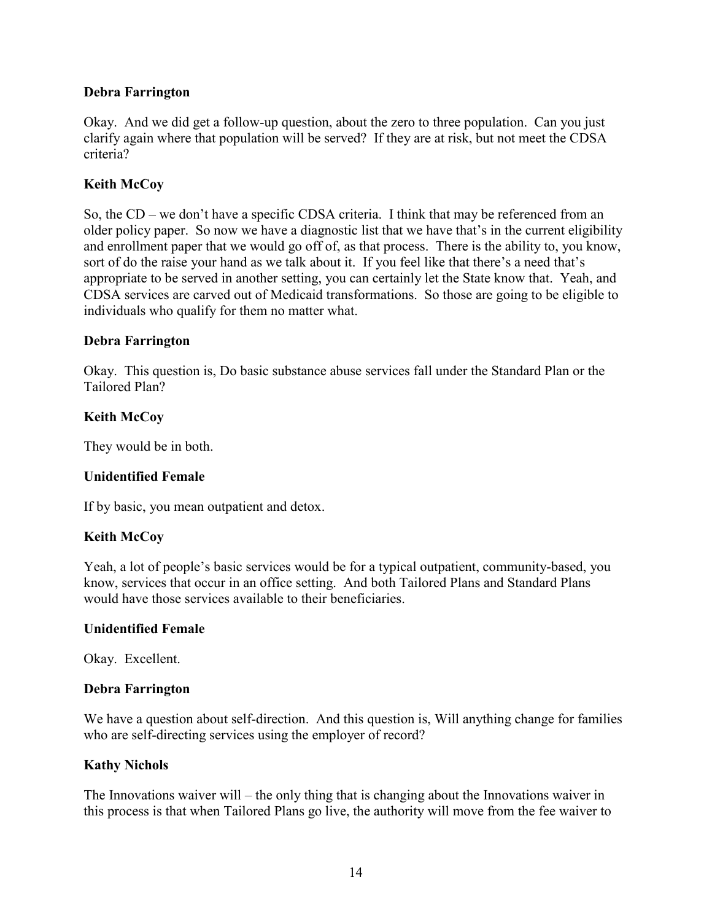### **Debra Farrington**

Okay. And we did get a follow-up question, about the zero to three population. Can you just clarify again where that population will be served? If they are at risk, but not meet the CDSA criteria?

### **Keith McCoy**

So, the CD – we don't have a specific CDSA criteria. I think that may be referenced from an older policy paper. So now we have a diagnostic list that we have that's in the current eligibility and enrollment paper that we would go off of, as that process. There is the ability to, you know, sort of do the raise your hand as we talk about it. If you feel like that there's a need that's appropriate to be served in another setting, you can certainly let the State know that. Yeah, and CDSA services are carved out of Medicaid transformations. So those are going to be eligible to individuals who qualify for them no matter what.

#### **Debra Farrington**

Okay. This question is, Do basic substance abuse services fall under the Standard Plan or the Tailored Plan?

### **Keith McCoy**

They would be in both.

#### **Unidentified Female**

If by basic, you mean outpatient and detox.

#### **Keith McCoy**

Yeah, a lot of people's basic services would be for a typical outpatient, community-based, you know, services that occur in an office setting. And both Tailored Plans and Standard Plans would have those services available to their beneficiaries.

#### **Unidentified Female**

Okay. Excellent.

#### **Debra Farrington**

We have a question about self-direction. And this question is, Will anything change for families who are self-directing services using the employer of record?

#### **Kathy Nichols**

The Innovations waiver will – the only thing that is changing about the Innovations waiver in this process is that when Tailored Plans go live, the authority will move from the fee waiver to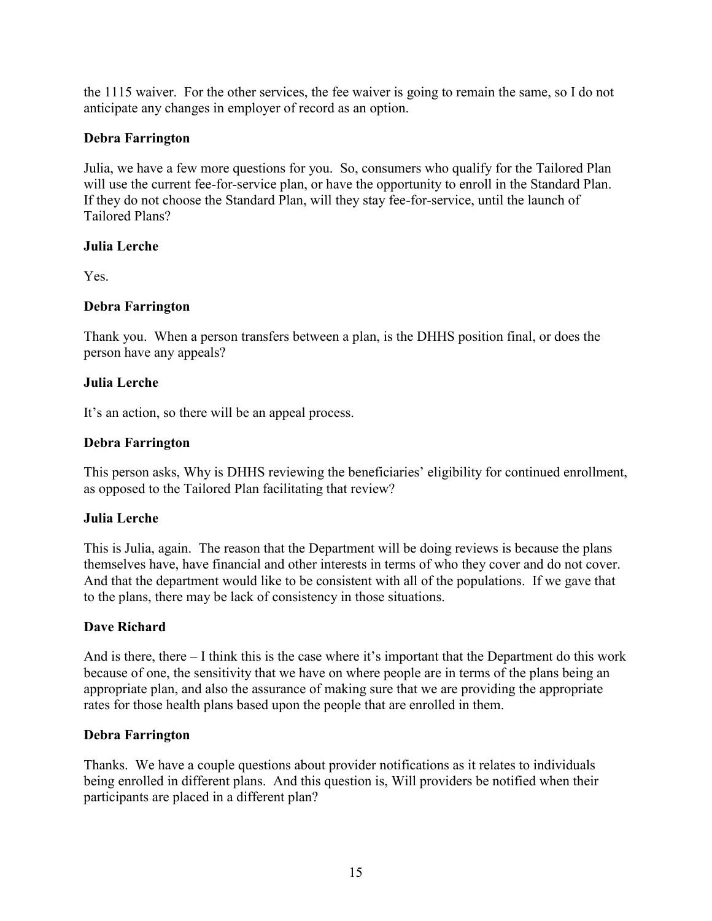the 1115 waiver. For the other services, the fee waiver is going to remain the same, so I do not anticipate any changes in employer of record as an option.

## **Debra Farrington**

Julia, we have a few more questions for you. So, consumers who qualify for the Tailored Plan will use the current fee-for-service plan, or have the opportunity to enroll in the Standard Plan. If they do not choose the Standard Plan, will they stay fee-for-service, until the launch of Tailored Plans?

## **Julia Lerche**

Yes.

## **Debra Farrington**

Thank you. When a person transfers between a plan, is the DHHS position final, or does the person have any appeals?

## **Julia Lerche**

It's an action, so there will be an appeal process.

## **Debra Farrington**

This person asks, Why is DHHS reviewing the beneficiaries' eligibility for continued enrollment, as opposed to the Tailored Plan facilitating that review?

## **Julia Lerche**

This is Julia, again. The reason that the Department will be doing reviews is because the plans themselves have, have financial and other interests in terms of who they cover and do not cover. And that the department would like to be consistent with all of the populations. If we gave that to the plans, there may be lack of consistency in those situations.

# **Dave Richard**

And is there, there  $-1$  think this is the case where it's important that the Department do this work because of one, the sensitivity that we have on where people are in terms of the plans being an appropriate plan, and also the assurance of making sure that we are providing the appropriate rates for those health plans based upon the people that are enrolled in them.

## **Debra Farrington**

Thanks. We have a couple questions about provider notifications as it relates to individuals being enrolled in different plans. And this question is, Will providers be notified when their participants are placed in a different plan?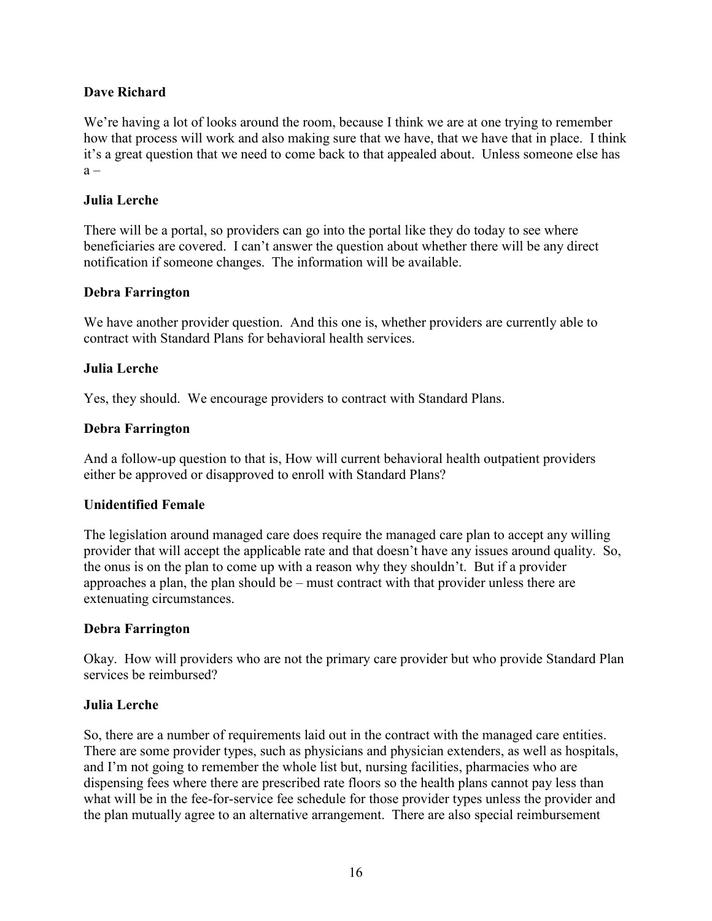### **Dave Richard**

We're having a lot of looks around the room, because I think we are at one trying to remember how that process will work and also making sure that we have, that we have that in place. I think it's a great question that we need to come back to that appealed about. Unless someone else has  $a -$ 

#### **Julia Lerche**

There will be a portal, so providers can go into the portal like they do today to see where beneficiaries are covered. I can't answer the question about whether there will be any direct notification if someone changes. The information will be available.

#### **Debra Farrington**

We have another provider question. And this one is, whether providers are currently able to contract with Standard Plans for behavioral health services.

#### **Julia Lerche**

Yes, they should. We encourage providers to contract with Standard Plans.

#### **Debra Farrington**

And a follow-up question to that is, How will current behavioral health outpatient providers either be approved or disapproved to enroll with Standard Plans?

#### **Unidentified Female**

The legislation around managed care does require the managed care plan to accept any willing provider that will accept the applicable rate and that doesn't have any issues around quality. So, the onus is on the plan to come up with a reason why they shouldn't. But if a provider approaches a plan, the plan should be – must contract with that provider unless there are extenuating circumstances.

#### **Debra Farrington**

Okay. How will providers who are not the primary care provider but who provide Standard Plan services be reimbursed?

#### **Julia Lerche**

So, there are a number of requirements laid out in the contract with the managed care entities. There are some provider types, such as physicians and physician extenders, as well as hospitals, and I'm not going to remember the whole list but, nursing facilities, pharmacies who are dispensing fees where there are prescribed rate floors so the health plans cannot pay less than what will be in the fee-for-service fee schedule for those provider types unless the provider and the plan mutually agree to an alternative arrangement. There are also special reimbursement